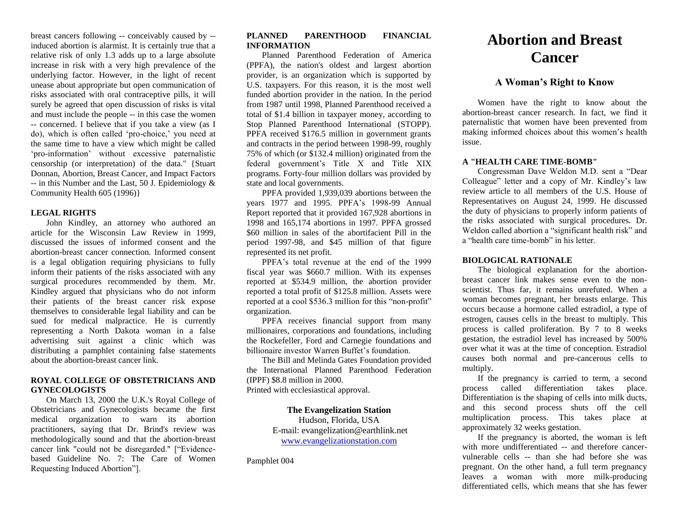breast cancers following -- conceivably caused by - induced abortion is alarmist. It is certainly true that a relative risk of only 1.3 adds up to a large absolute increase in risk with a very high prevalence of the underlying factor. However, in the light of recent unease about appropriate but open communication of risks associated with oral contraceptive pills, it will surely be agreed that open discussion of risks is vital and must include the people -- in this case the women -- concerned. I believe that if you take a view (as I do), which is often called 'pro-choice,' you need at the same time to have a view which might be called 'pro-information' without excessive paternalistic censorship (or interpretation) of the data." {Stuart Donnan, Abortion, Breast Cancer, and Impact Factors -- in this Number and the Last, 50 J. Epidemiology & Community Health 605 (1996)}

## **LEGAL RIGHTS**

John Kindley, an attorney who authored an article for the Wisconsin Law Review in 1999, discussed the issues of informed consent and the abortion-breast cancer connection. Informed consent is a legal obligation requiring physicians to fully inform their patients of the risks associated with any surgical procedures recommended by them. Mr. Kindley argued that physicians who do not inform their patients of the breast cancer risk expose themselves to considerable legal liability and can be sued for medical malpractice. He is currently representing a North Dakota woman in a false advertising suit against a clinic which was distributing a pamphlet containing false statements about the abortion-breast cancer link.

## **ROYAL COLLEGE OF OBSTETRICIANS AND GYNECOLOGISTS**

On March 13, 2000 the U.K.'s Royal College of Obstetricians and Gynecologists became the first medical organization to warn its abortion practitioners, saying that Dr. Brind's review was methodologically sound and that the abortion-breast cancer link "could not be disregarded." ["Evidencebased Guideline No. 7: The Care of Women Requesting Induced Abortion"].

## **PLANNED PARENTHOOD FINANCIAL INFORMATION**

Planned Parenthood Federation of America (PPFA), the nation's oldest and largest abortion provider, is an organization which is supported by U.S. taxpayers. For this reason, it is the most well funded abortion provider in the nation. In the period from 1987 until 1998, Planned Parenthood received a total of \$1.4 billion in taxpayer money, according to Stop Planned Parenthood International (STOPP). PPFA received \$176.5 million in government grants and contracts in the period between 1998-99, roughly 75% of which (or \$132.4 million) originated from the federal government's Title X and Title XIX programs. Forty-four million dollars was provided by state and local governments.

PPFA provided 1,939,039 abortions between the years 1977 and 1995. PPFA's 1998-99 Annual Report reported that it provided 167,928 abortions in 1998 and 165,174 abortions in 1997. PPFA grossed \$60 million in sales of the abortifacient Pill in the period 1997-98, and \$45 million of that figure represented its net profit.

PPFA's total revenue at the end of the 1999 fiscal year was \$660.7 million. With its expenses reported at \$534.9 million, the abortion provider reported a total profit of \$125.8 million. Assets were reported at a cool \$536.3 million for this "non-profit" organization.

PPFA receives financial support from many millionaires, corporations and foundations, including the Rockefeller, Ford and Carnegie foundations and billionaire investor Warren Buffet's foundation.

The Bill and Melinda Gates Foundation provided the International Planned Parenthood Federation (IPPF) \$8.8 million in 2000. Printed with ecclesiastical approval.

# **The Evangelization Station**

Hudson, Florida, USA E-mail: evangelization@earthlink.net [www.evangelizationstation.com](http://www.pjpiisoe.org/)

Pamphlet 004

# **Abortion and Breast Cancer**

# **A Woman's Right to Know**

Women have the right to know about the abortion-breast cancer research. In fact, we find it paternalistic that women have been prevented from making informed choices about this women's health issue.

## **A "HEALTH CARE TIME-BOMB"**

Congressman Dave Weldon M.D. sent a "Dear Colleague" letter and a copy of Mr. Kindley's law review article to all members of the U.S. House of Representatives on August 24, 1999. He discussed the duty of physicians to properly inform patients of the risks associated with surgical procedures. Dr. Weldon called abortion a "significant health risk" and a "health care time-bomb" in his letter.

#### **BIOLOGICAL RATIONALE**

The biological explanation for the abortionbreast cancer link makes sense even to the nonscientist. Thus far, it remains unrefuted. When a woman becomes pregnant, her breasts enlarge. This occurs because a hormone called estradiol, a type of estrogen, causes cells in the breast to multiply. This process is called proliferation. By 7 to 8 weeks gestation, the estradiol level has increased by 500% over what it was at the time of conception. Estradiol causes both normal and pre-cancerous cells to multiply.

If the pregnancy is carried to term, a second process called differentiation takes place. Differentiation is the shaping of cells into milk ducts, and this second process shuts off the cell multiplication process. This takes place at approximately 32 weeks gestation.

If the pregnancy is aborted, the woman is left with more undifferentiated -- and therefore cancervulnerable cells -- than she had before she was pregnant. On the other hand, a full term pregnancy leaves a woman with more milk-producing differentiated cells, which means that she has fewer